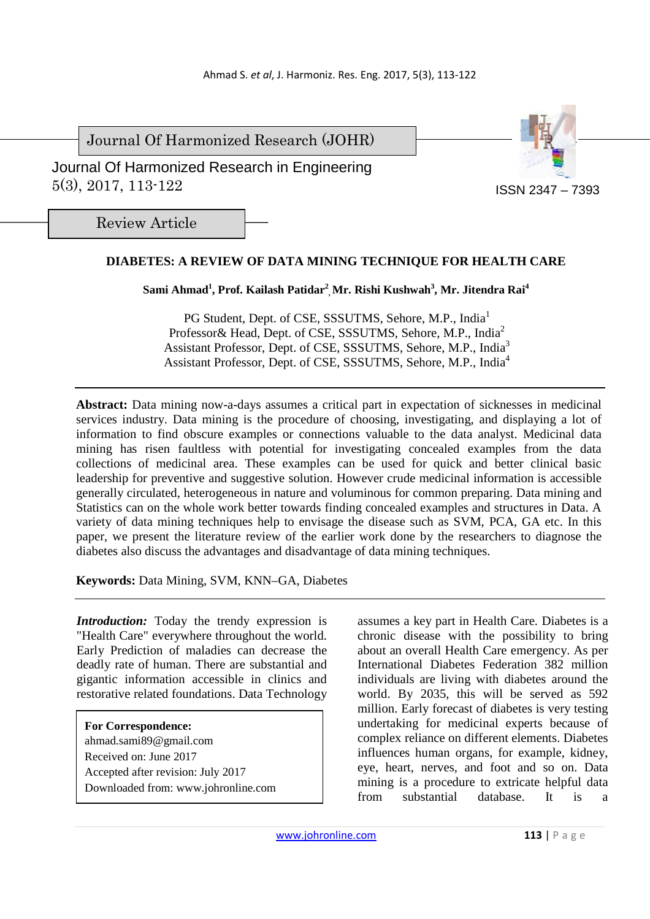Journal Of Harmonized Research (JOHR)



 Journal Of Harmonized Research in Engineering 5(3), 2017, 113-122

Review Article

# **DIABETES: A REVIEW OF DATA MINING TECHNIQUE FOR HEALTH CARE**

## **Sami Ahmad<sup>1</sup> , Prof. Kailash Patidar<sup>2</sup> , Mr. Rishi Kushwah<sup>3</sup> , Mr. Jitendra Rai<sup>4</sup>**

PG Student, Dept. of CSE, SSSUTMS, Sehore, M.P., India<sup>1</sup> Professor & Head, Dept. of CSE, SSSUTMS, Sehore, M.P., India<sup>2</sup> Assistant Professor, Dept. of CSE, SSSUTMS, Sehore, M.P., India<sup>3</sup> Assistant Professor, Dept. of CSE, SSSUTMS, Sehore, M.P., India<sup>4</sup>

**Abstract:** Data mining now-a-days assumes a critical part in expectation of sicknesses in medicinal services industry. Data mining is the procedure of choosing, investigating, and displaying a lot of information to find obscure examples or connections valuable to the data analyst. Medicinal data mining has risen faultless with potential for investigating concealed examples from the data collections of medicinal area. These examples can be used for quick and better clinical basic leadership for preventive and suggestive solution. However crude medicinal information is accessible generally circulated, heterogeneous in nature and voluminous for common preparing. Data mining and Statistics can on the whole work better towards finding concealed examples and structures in Data. A variety of data mining techniques help to envisage the disease such as SVM, PCA, GA etc. In this paper, we present the literature review of the earlier work done by the researchers to diagnose the diabetes also discuss the advantages and disadvantage of data mining techniques.

**Keywords:** Data Mining, SVM, KNN–GA, Diabetes

*Introduction:* Today the trendy expression is "Health Care" everywhere throughout the world. Early Prediction of maladies can decrease the deadly rate of human. There are substantial and gigantic information accessible in clinics and restorative related foundations. Data Technology

**For Correspondence:**  ahmad.sami89@gmail.com Received on: June 2017 Accepted after revision: July 2017 Downloaded from: www.johronline.com assumes a key part in Health Care. Diabetes is a chronic disease with the possibility to bring about an overall Health Care emergency. As per International Diabetes Federation 382 million individuals are living with diabetes around the world. By 2035, this will be served as 592 million. Early forecast of diabetes is very testing undertaking for medicinal experts because of complex reliance on different elements. Diabetes influences human organs, for example, kidney, eye, heart, nerves, and foot and so on. Data mining is a procedure to extricate helpful data from substantial database. It is a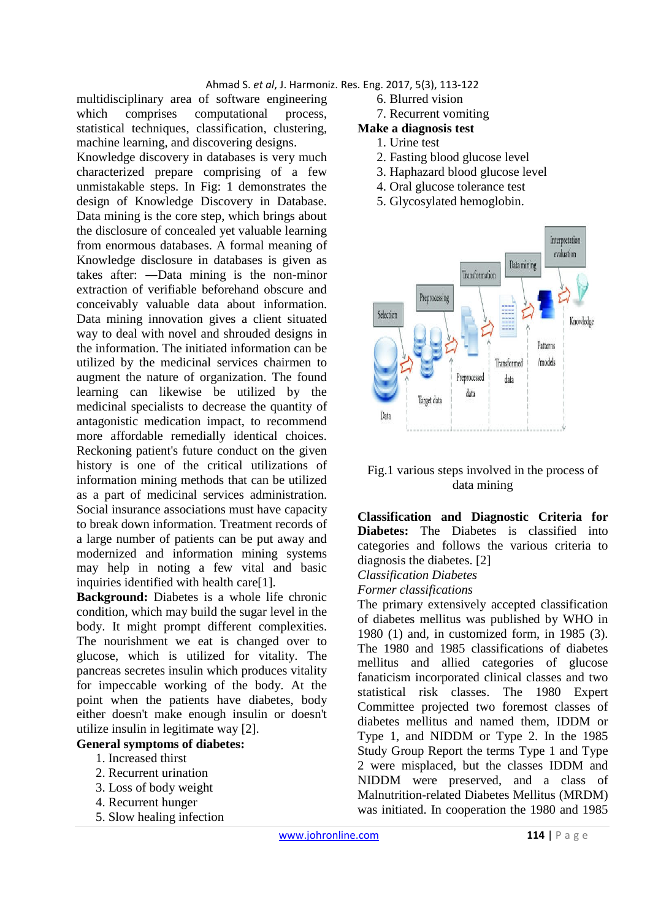multidisciplinary area of software engineering which comprises computational process, statistical techniques, classification, clustering, machine learning, and discovering designs.

Knowledge discovery in databases is very much characterized prepare comprising of a few unmistakable steps. In Fig: 1 demonstrates the design of Knowledge Discovery in Database. Data mining is the core step, which brings about the disclosure of concealed yet valuable learning from enormous databases. A formal meaning of Knowledge disclosure in databases is given as takes after: ―Data mining is the non-minor extraction of verifiable beforehand obscure and conceivably valuable data about information. Data mining innovation gives a client situated way to deal with novel and shrouded designs in the information. The initiated information can be utilized by the medicinal services chairmen to augment the nature of organization. The found learning can likewise be utilized by the medicinal specialists to decrease the quantity of antagonistic medication impact, to recommend more affordable remedially identical choices. Reckoning patient's future conduct on the given history is one of the critical utilizations of information mining methods that can be utilized as a part of medicinal services administration. Social insurance associations must have capacity to break down information. Treatment records of a large number of patients can be put away and modernized and information mining systems may help in noting a few vital and basic inquiries identified with health care[1].

**Background:** Diabetes is a whole life chronic condition, which may build the sugar level in the body. It might prompt different complexities. The nourishment we eat is changed over to glucose, which is utilized for vitality. The pancreas secretes insulin which produces vitality for impeccable working of the body. At the point when the patients have diabetes, body either doesn't make enough insulin or doesn't utilize insulin in legitimate way [2].

#### **General symptoms of diabetes:**

- 1. Increased thirst
- 2. Recurrent urination
- 3. Loss of body weight
- 4. Recurrent hunger
- 5. Slow healing infection
- - 6. Blurred vision
	- 7. Recurrent vomiting

# **Make a diagnosis test**

- 1. Urine test
- 2. Fasting blood glucose level
- 3. Haphazard blood glucose level
- 4. Oral glucose tolerance test
- 5. Glycosylated hemoglobin.



### Fig.1 various steps involved in the process of data mining

**Classification and Diagnostic Criteria for Diabetes:** The Diabetes is classified into categories and follows the various criteria to diagnosis the diabetes. [2]

*Classification Diabetes* 

*Former classifications* 

The primary extensively accepted classification of diabetes mellitus was published by WHO in 1980 (1) and, in customized form, in 1985 (3). The 1980 and 1985 classifications of diabetes mellitus and allied categories of glucose fanaticism incorporated clinical classes and two statistical risk classes. The 1980 Expert Committee projected two foremost classes of diabetes mellitus and named them, IDDM or Type 1, and NIDDM or Type 2. In the 1985 Study Group Report the terms Type 1 and Type 2 were misplaced, but the classes IDDM and NIDDM were preserved, and a class of Malnutrition-related Diabetes Mellitus (MRDM) was initiated. In cooperation the 1980 and 1985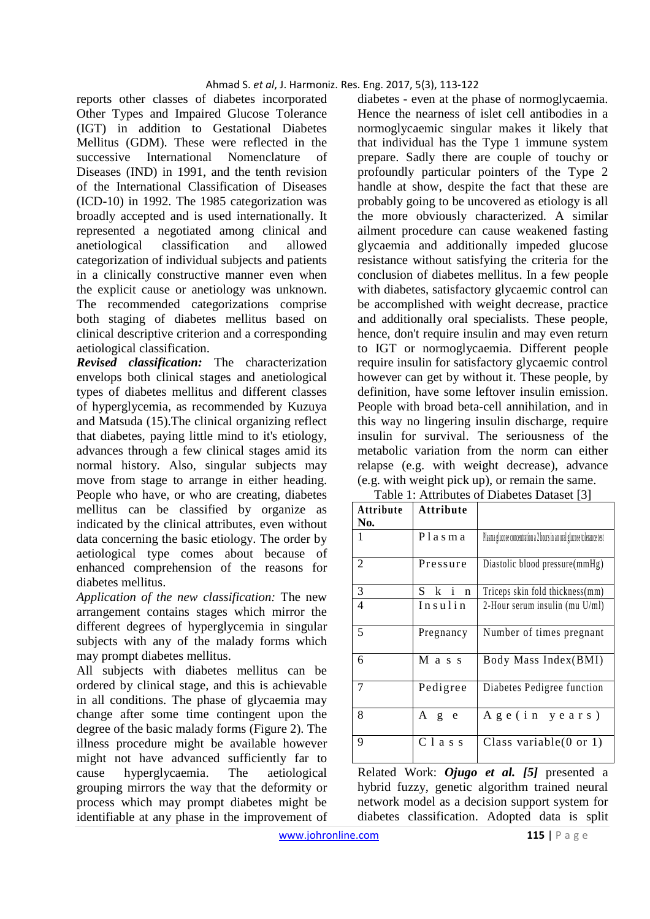reports other classes of diabetes incorporated Other Types and Impaired Glucose Tolerance (IGT) in addition to Gestational Diabetes Mellitus (GDM). These were reflected in the successive International Nomenclature of Diseases (IND) in 1991, and the tenth revision of the International Classification of Diseases (ICD-10) in 1992. The 1985 categorization was broadly accepted and is used internationally. It represented a negotiated among clinical and anetiological classification and allowed categorization of individual subjects and patients in a clinically constructive manner even when the explicit cause or anetiology was unknown. The recommended categorizations comprise both staging of diabetes mellitus based on clinical descriptive criterion and a corresponding aetiological classification.

*Revised classification:* The characterization envelops both clinical stages and anetiological types of diabetes mellitus and different classes of hyperglycemia, as recommended by Kuzuya and Matsuda (15).The clinical organizing reflect that diabetes, paying little mind to it's etiology, advances through a few clinical stages amid its normal history. Also, singular subjects may move from stage to arrange in either heading. People who have, or who are creating, diabetes mellitus can be classified by organize as indicated by the clinical attributes, even without data concerning the basic etiology. The order by aetiological type comes about because of enhanced comprehension of the reasons for diabetes mellitus.

*Application of the new classification:* The new arrangement contains stages which mirror the different degrees of hyperglycemia in singular subjects with any of the malady forms which may prompt diabetes mellitus.

All subjects with diabetes mellitus can be ordered by clinical stage, and this is achievable in all conditions. The phase of glycaemia may change after some time contingent upon the degree of the basic malady forms (Figure 2). The illness procedure might be available however might not have advanced sufficiently far to cause hyperglycaemia. The aetiological grouping mirrors the way that the deformity or process which may prompt diabetes might be identifiable at any phase in the improvement of diabetes - even at the phase of normoglycaemia. Hence the nearness of islet cell antibodies in a normoglycaemic singular makes it likely that that individual has the Type 1 immune system prepare. Sadly there are couple of touchy or profoundly particular pointers of the Type 2 handle at show, despite the fact that these are probably going to be uncovered as etiology is all the more obviously characterized. A similar ailment procedure can cause weakened fasting glycaemia and additionally impeded glucose resistance without satisfying the criteria for the conclusion of diabetes mellitus. In a few people with diabetes, satisfactory glycaemic control can be accomplished with weight decrease, practice and additionally oral specialists. These people, hence, don't require insulin and may even return to IGT or normoglycaemia. Different people require insulin for satisfactory glycaemic control however can get by without it. These people, by definition, have some leftover insulin emission. People with broad beta-cell annihilation, and in this way no lingering insulin discharge, require insulin for survival. The seriousness of the metabolic variation from the norm can either relapse (e.g. with weight decrease), advance (e.g. with weight pick up), or remain the same.

| Table 1: Attributes of Diabetes Dataset [3] |                    |                                                                          |
|---------------------------------------------|--------------------|--------------------------------------------------------------------------|
| <b>Attribute</b><br>No.                     | <b>Attribute</b>   |                                                                          |
| 1                                           | Plasma             | Plasma glucose concentration a 2 hours in an oral glucose tolerance test |
| 2                                           | Pressure           | Diastolic blood pressure(mmHg)                                           |
| 3                                           | Ski<br>$\mathbf n$ | Triceps skin fold thickness(mm)                                          |
| $\overline{4}$                              | Insulin            | 2-Hour serum insulin (mu U/ml)                                           |
| 5                                           | Pregnancy          | Number of times pregnant                                                 |
| 6                                           | M a s s            | Body Mass Index(BMI)                                                     |
| 7                                           | Pedigree           | Diabetes Pedigree function                                               |
| 8                                           | A g e              | $A$ ge(in years)                                                         |
| 9                                           | Class              | Class variable $(0 \text{ or } 1)$                                       |

Related Work: *Ojugo et al. [5]* presented a hybrid fuzzy, genetic algorithm trained neural network model as a decision support system for diabetes classification. Adopted data is split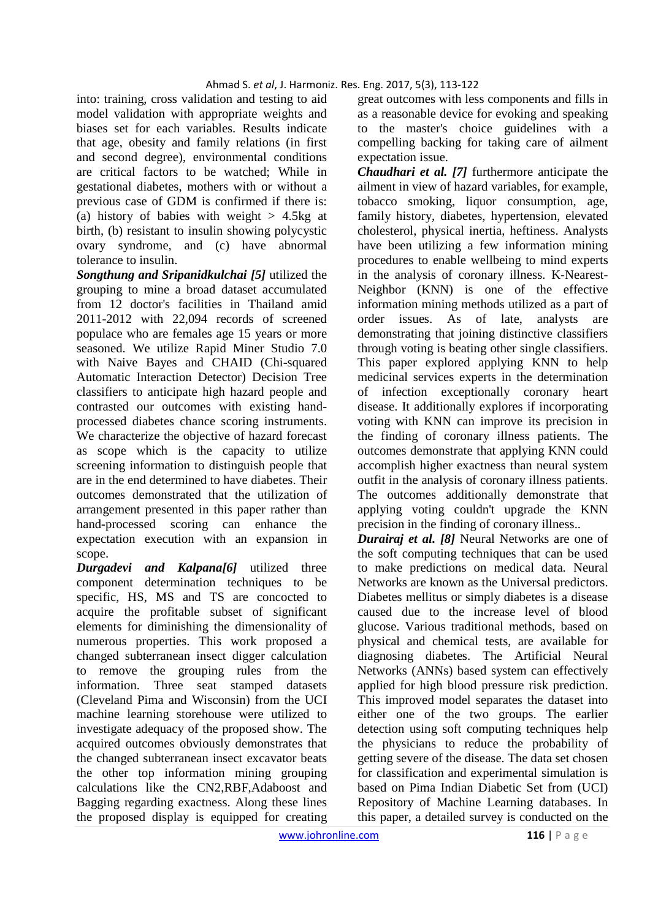into: training, cross validation and testing to aid model validation with appropriate weights and biases set for each variables. Results indicate that age, obesity and family relations (in first and second degree), environmental conditions are critical factors to be watched; While in gestational diabetes, mothers with or without a previous case of GDM is confirmed if there is: (a) history of babies with weight  $> 4.5$ kg at birth, (b) resistant to insulin showing polycystic ovary syndrome, and (c) have abnormal tolerance to insulin.

*Songthung and Sripanidkulchai [5]* utilized the grouping to mine a broad dataset accumulated from 12 doctor's facilities in Thailand amid 2011-2012 with 22,094 records of screened populace who are females age 15 years or more seasoned. We utilize Rapid Miner Studio 7.0 with Naive Bayes and CHAID (Chi-squared Automatic Interaction Detector) Decision Tree classifiers to anticipate high hazard people and contrasted our outcomes with existing handprocessed diabetes chance scoring instruments. We characterize the objective of hazard forecast as scope which is the capacity to utilize screening information to distinguish people that are in the end determined to have diabetes. Their outcomes demonstrated that the utilization of arrangement presented in this paper rather than hand-processed scoring can enhance the expectation execution with an expansion in scope.

*Durgadevi and Kalpana[6]* utilized three component determination techniques to be specific, HS, MS and TS are concocted to acquire the profitable subset of significant elements for diminishing the dimensionality of numerous properties. This work proposed a changed subterranean insect digger calculation to remove the grouping rules from the information. Three seat stamped datasets (Cleveland Pima and Wisconsin) from the UCI machine learning storehouse were utilized to investigate adequacy of the proposed show. The acquired outcomes obviously demonstrates that the changed subterranean insect excavator beats the other top information mining grouping calculations like the CN2,RBF,Adaboost and Bagging regarding exactness. Along these lines the proposed display is equipped for creating great outcomes with less components and fills in as a reasonable device for evoking and speaking to the master's choice guidelines with a compelling backing for taking care of ailment expectation issue.

*Chaudhari et al. [7]* furthermore anticipate the ailment in view of hazard variables, for example, tobacco smoking, liquor consumption, age, family history, diabetes, hypertension, elevated cholesterol, physical inertia, heftiness. Analysts have been utilizing a few information mining procedures to enable wellbeing to mind experts in the analysis of coronary illness. K-Nearest-Neighbor (KNN) is one of the effective information mining methods utilized as a part of order issues. As of late, analysts are demonstrating that joining distinctive classifiers through voting is beating other single classifiers. This paper explored applying KNN to help medicinal services experts in the determination of infection exceptionally coronary heart disease. It additionally explores if incorporating voting with KNN can improve its precision in the finding of coronary illness patients. The outcomes demonstrate that applying KNN could accomplish higher exactness than neural system outfit in the analysis of coronary illness patients. The outcomes additionally demonstrate that applying voting couldn't upgrade the KNN precision in the finding of coronary illness..

*Durairaj et al. [8]* Neural Networks are one of the soft computing techniques that can be used to make predictions on medical data. Neural Networks are known as the Universal predictors. Diabetes mellitus or simply diabetes is a disease caused due to the increase level of blood glucose. Various traditional methods, based on physical and chemical tests, are available for diagnosing diabetes. The Artificial Neural Networks (ANNs) based system can effectively applied for high blood pressure risk prediction. This improved model separates the dataset into either one of the two groups. The earlier detection using soft computing techniques help the physicians to reduce the probability of getting severe of the disease. The data set chosen for classification and experimental simulation is based on Pima Indian Diabetic Set from (UCI) Repository of Machine Learning databases. In this paper, a detailed survey is conducted on the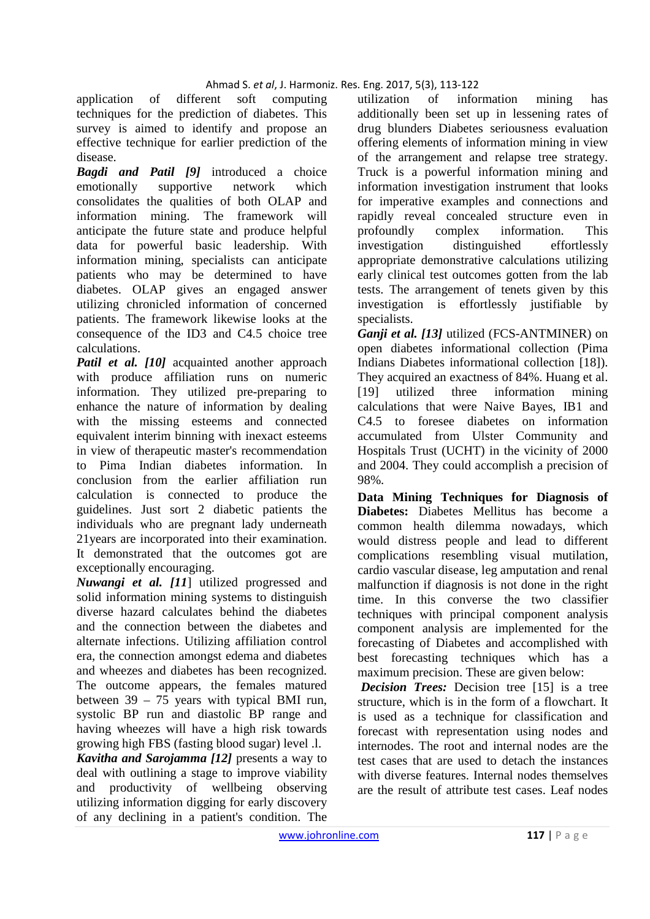application of different soft computing techniques for the prediction of diabetes. This survey is aimed to identify and propose an effective technique for earlier prediction of the disease.

*Bagdi and Patil [9]* introduced a choice emotionally supportive network which consolidates the qualities of both OLAP and information mining. The framework will anticipate the future state and produce helpful data for powerful basic leadership. With information mining, specialists can anticipate patients who may be determined to have diabetes. OLAP gives an engaged answer utilizing chronicled information of concerned patients. The framework likewise looks at the consequence of the ID3 and C4.5 choice tree calculations.

*Patil et al.* [10] acquainted another approach with produce affiliation runs on numeric information. They utilized pre-preparing to enhance the nature of information by dealing with the missing esteems and connected equivalent interim binning with inexact esteems in view of therapeutic master's recommendation to Pima Indian diabetes information. In conclusion from the earlier affiliation run calculation is connected to produce the guidelines. Just sort 2 diabetic patients the individuals who are pregnant lady underneath 21years are incorporated into their examination. It demonstrated that the outcomes got are exceptionally encouraging.

*Nuwangi et al. [11*] utilized progressed and solid information mining systems to distinguish diverse hazard calculates behind the diabetes and the connection between the diabetes and alternate infections. Utilizing affiliation control era, the connection amongst edema and diabetes and wheezes and diabetes has been recognized. The outcome appears, the females matured between  $39 - 75$  years with typical BMI run, systolic BP run and diastolic BP range and having wheezes will have a high risk towards growing high FBS (fasting blood sugar) level .l.

*Kavitha and Sarojamma [12]* presents a way to deal with outlining a stage to improve viability and productivity of wellbeing observing utilizing information digging for early discovery of any declining in a patient's condition. The utilization of information mining has additionally been set up in lessening rates of drug blunders Diabetes seriousness evaluation offering elements of information mining in view of the arrangement and relapse tree strategy. Truck is a powerful information mining and information investigation instrument that looks for imperative examples and connections and rapidly reveal concealed structure even in profoundly complex information. This investigation distinguished effortlessly appropriate demonstrative calculations utilizing early clinical test outcomes gotten from the lab tests. The arrangement of tenets given by this investigation is effortlessly justifiable by specialists.

*Ganji et al. [13]* utilized (FCS-ANTMINER) on open diabetes informational collection (Pima Indians Diabetes informational collection [18]). They acquired an exactness of 84%. Huang et al. [19] utilized three information mining calculations that were Naive Bayes, IB1 and C4.5 to foresee diabetes on information accumulated from Ulster Community and Hospitals Trust (UCHT) in the vicinity of 2000 and 2004. They could accomplish a precision of 98%.

**Data Mining Techniques for Diagnosis of Diabetes:** Diabetes Mellitus has become a common health dilemma nowadays, which would distress people and lead to different complications resembling visual mutilation, cardio vascular disease, leg amputation and renal malfunction if diagnosis is not done in the right time. In this converse the two classifier techniques with principal component analysis component analysis are implemented for the forecasting of Diabetes and accomplished with best forecasting techniques which has a maximum precision. These are given below:

 *Decision Trees:* Decision tree [15] is a tree structure, which is in the form of a flowchart. It is used as a technique for classification and forecast with representation using nodes and internodes. The root and internal nodes are the test cases that are used to detach the instances with diverse features. Internal nodes themselves are the result of attribute test cases. Leaf nodes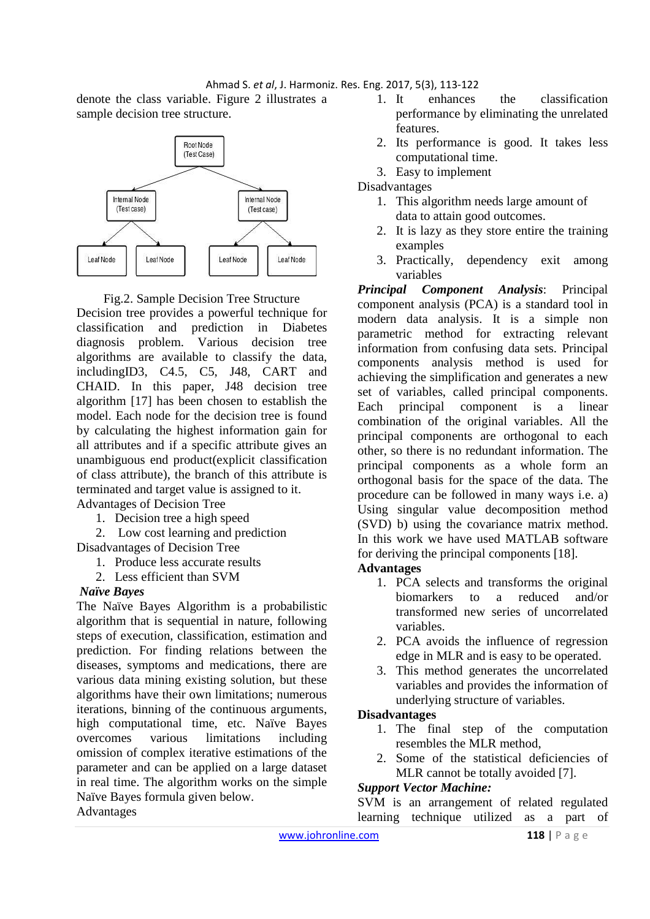denote the class variable. Figure 2 illustrates a sample decision tree structure.



Fig.2. Sample Decision Tree Structure

Decision tree provides a powerful technique for classification and prediction in Diabetes diagnosis problem. Various decision tree algorithms are available to classify the data, includingID3, C4.5, C5, J48, CART and CHAID. In this paper, J48 decision tree algorithm [17] has been chosen to establish the model. Each node for the decision tree is found by calculating the highest information gain for all attributes and if a specific attribute gives an unambiguous end product(explicit classification of class attribute), the branch of this attribute is terminated and target value is assigned to it.

Advantages of Decision Tree

- 1. Decision tree a high speed
- 2. Low cost learning and prediction

Disadvantages of Decision Tree

- 1. Produce less accurate results
- 2. Less efficient than SVM

### *Naïve Bayes*

The Naïve Bayes Algorithm is a probabilistic algorithm that is sequential in nature, following steps of execution, classification, estimation and prediction. For finding relations between the diseases, symptoms and medications, there are various data mining existing solution, but these algorithms have their own limitations; numerous iterations, binning of the continuous arguments, high computational time, etc. Naïve Bayes overcomes various limitations including omission of complex iterative estimations of the parameter and can be applied on a large dataset in real time. The algorithm works on the simple Naïve Bayes formula given below.

- 1. It enhances the classification performance by eliminating the unrelated features.
- 2. Its performance is good. It takes less computational time.
- 3. Easy to implement

**Disadvantages** 

- 1. This algorithm needs large amount of data to attain good outcomes.
- 2. It is lazy as they store entire the training examples
- 3. Practically, dependency exit among variables

*Principal Component Analysis*: Principal component analysis (PCA) is a standard tool in modern data analysis. It is a simple non parametric method for extracting relevant information from confusing data sets. Principal components analysis method is used for achieving the simplification and generates a new set of variables, called principal components. Each principal component is a linear combination of the original variables. All the principal components are orthogonal to each other, so there is no redundant information. The principal components as a whole form an orthogonal basis for the space of the data. The procedure can be followed in many ways i.e. a) Using singular value decomposition method (SVD) b) using the covariance matrix method. In this work we have used MATLAB software for deriving the principal components [18].

# **Advantages**

- 1. PCA selects and transforms the original biomarkers to a reduced and/or transformed new series of uncorrelated variables.
- 2. PCA avoids the influence of regression edge in MLR and is easy to be operated.
- 3. This method generates the uncorrelated variables and provides the information of underlying structure of variables.

### **Disadvantages**

- 1. The final step of the computation resembles the MLR method,
- 2. Some of the statistical deficiencies of MLR cannot be totally avoided [7].

### *Support Vector Machine:*

SVM is an arrangement of related regulated learning technique utilized as a part of

## Advantages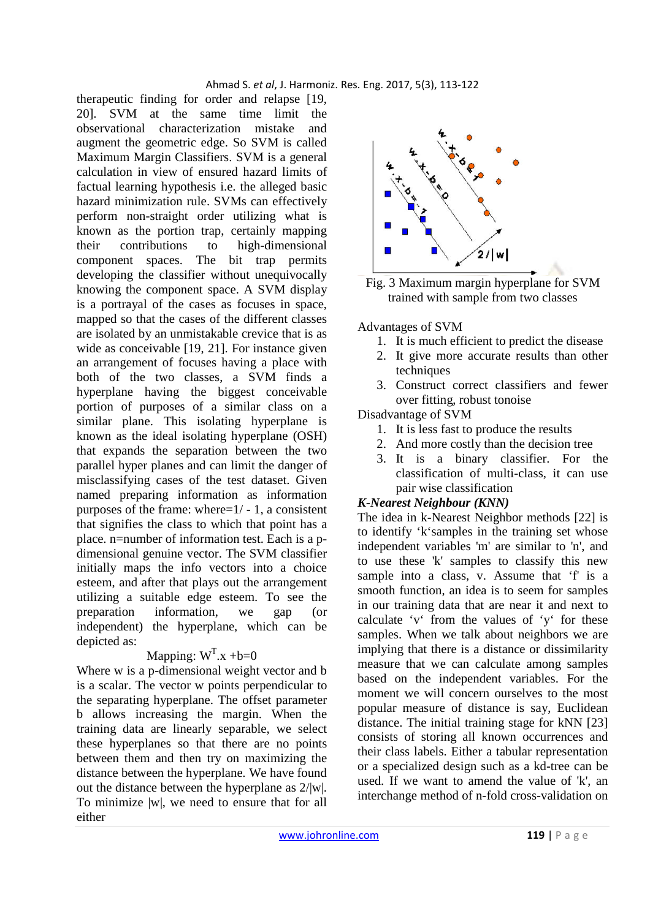therapeutic finding for order and relapse [19, 20]. SVM at the same time limit the observational characterization mistake and augment the geometric edge. So SVM is called Maximum Margin Classifiers. SVM is a general calculation in view of ensured hazard limits of factual learning hypothesis i.e. the alleged basic hazard minimization rule. SVMs can effectively perform non-straight order utilizing what is known as the portion trap, certainly mapping their contributions to high-dimensional component spaces. The bit trap permits developing the classifier without unequivocally knowing the component space. A SVM display is a portrayal of the cases as focuses in space, mapped so that the cases of the different classes are isolated by an unmistakable crevice that is as wide as conceivable [19, 21]. For instance given an arrangement of focuses having a place with both of the two classes, a SVM finds a hyperplane having the biggest conceivable portion of purposes of a similar class on a similar plane. This isolating hyperplane is known as the ideal isolating hyperplane (OSH) that expands the separation between the two parallel hyper planes and can limit the danger of misclassifying cases of the test dataset. Given named preparing information as information purposes of the frame: where=1/ - 1, a consistent that signifies the class to which that point has a place. n=number of information test. Each is a pdimensional genuine vector. The SVM classifier initially maps the info vectors into a choice esteem, and after that plays out the arrangement utilizing a suitable edge esteem. To see the preparation information, we gap (or independent) the hyperplane, which can be depicted as:

# Mapping:  $W<sup>T</sup>.x + b=0$

Where w is a p-dimensional weight vector and b is a scalar. The vector w points perpendicular to the separating hyperplane. The offset parameter b allows increasing the margin. When the training data are linearly separable, we select these hyperplanes so that there are no points between them and then try on maximizing the distance between the hyperplane. We have found out the distance between the hyperplane as 2/|w|. To minimize |w|, we need to ensure that for all either



Fig. 3 Maximum margin hyperplane for SVM trained with sample from two classes

Advantages of SVM

- 1. It is much efficient to predict the disease
- 2. It give more accurate results than other techniques
- 3. Construct correct classifiers and fewer over fitting, robust tonoise

Disadvantage of SVM

- 1. It is less fast to produce the results
- 2. And more costly than the decision tree
- 3. It is a binary classifier. For the classification of multi-class, it can use pair wise classification

### *K-Nearest Neighbour (KNN)*

The idea in k-Nearest Neighbor methods [22] is to identify 'k'samples in the training set whose independent variables 'm' are similar to 'n', and to use these 'k' samples to classify this new sample into a class, v. Assume that 'f' is a smooth function, an idea is to seem for samples in our training data that are near it and next to calculate 'v' from the values of 'y' for these samples. When we talk about neighbors we are implying that there is a distance or dissimilarity measure that we can calculate among samples based on the independent variables. For the moment we will concern ourselves to the most popular measure of distance is say, Euclidean distance. The initial training stage for kNN [23] consists of storing all known occurrences and their class labels. Either a tabular representation or a specialized design such as a kd-tree can be used. If we want to amend the value of 'k', an interchange method of n-fold cross-validation on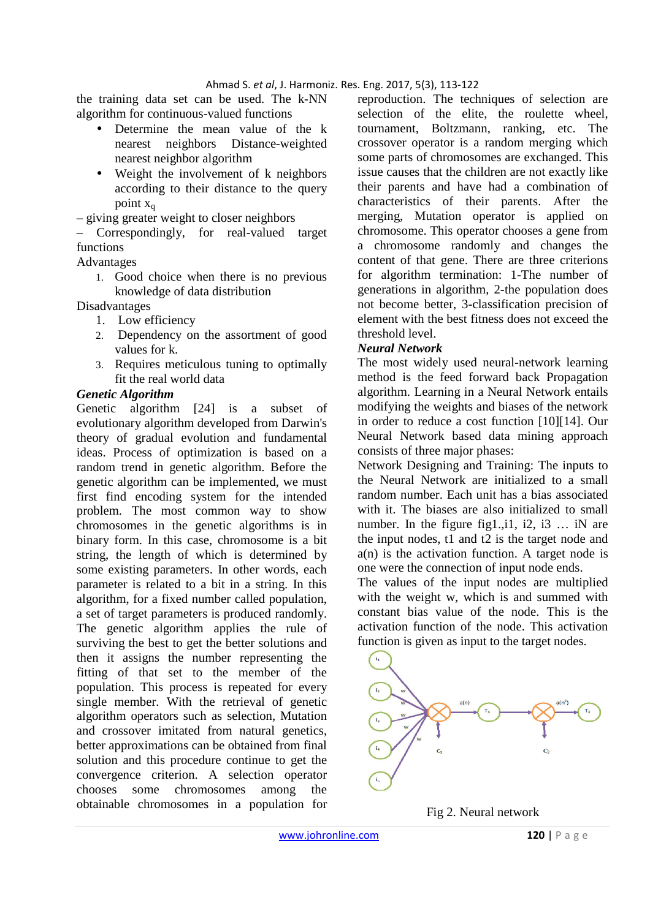the training data set can be used. The k-NN algorithm for continuous-valued functions

- Determine the mean value of the k nearest neighbors Distance-weighted nearest neighbor algorithm
- Weight the involvement of k neighbors according to their distance to the query point  $x_a$

– giving greater weight to closer neighbors

– Correspondingly, for real-valued target functions

Advantages

1. Good choice when there is no previous knowledge of data distribution

Disadvantages

- 1. Low efficiency
- 2. Dependency on the assortment of good values for k.
- 3. Requires meticulous tuning to optimally fit the real world data

### *Genetic Algorithm*

Genetic algorithm [24] is a subset of evolutionary algorithm developed from Darwin's theory of gradual evolution and fundamental ideas. Process of optimization is based on a random trend in genetic algorithm. Before the genetic algorithm can be implemented, we must first find encoding system for the intended problem. The most common way to show chromosomes in the genetic algorithms is in binary form. In this case, chromosome is a bit string, the length of which is determined by some existing parameters. In other words, each parameter is related to a bit in a string. In this algorithm, for a fixed number called population, a set of target parameters is produced randomly. The genetic algorithm applies the rule of surviving the best to get the better solutions and then it assigns the number representing the fitting of that set to the member of the population. This process is repeated for every single member. With the retrieval of genetic algorithm operators such as selection, Mutation and crossover imitated from natural genetics, better approximations can be obtained from final solution and this procedure continue to get the convergence criterion. A selection operator chooses some chromosomes among the obtainable chromosomes in a population for

reproduction. The techniques of selection are selection of the elite, the roulette wheel, tournament, Boltzmann, ranking, etc. The crossover operator is a random merging which some parts of chromosomes are exchanged. This issue causes that the children are not exactly like their parents and have had a combination of characteristics of their parents. After the merging, Mutation operator is applied on chromosome. This operator chooses a gene from a chromosome randomly and changes the content of that gene. There are three criterions for algorithm termination: 1-The number of generations in algorithm, 2-the population does not become better, 3-classification precision of element with the best fitness does not exceed the threshold level.

### *Neural Network*

The most widely used neural-network learning method is the feed forward back Propagation algorithm. Learning in a Neural Network entails modifying the weights and biases of the network in order to reduce a cost function [10][14]. Our Neural Network based data mining approach consists of three major phases:

Network Designing and Training: The inputs to the Neural Network are initialized to a small random number. Each unit has a bias associated with it. The biases are also initialized to small number. In the figure fig1., i1, i2, i3  $\ldots$  iN are the input nodes, t1 and t2 is the target node and  $a(n)$  is the activation function. A target node is one were the connection of input node ends.

The values of the input nodes are multiplied with the weight w, which is and summed with constant bias value of the node. This is the activation function of the node. This activation function is given as input to the target nodes.



Fig 2. Neural network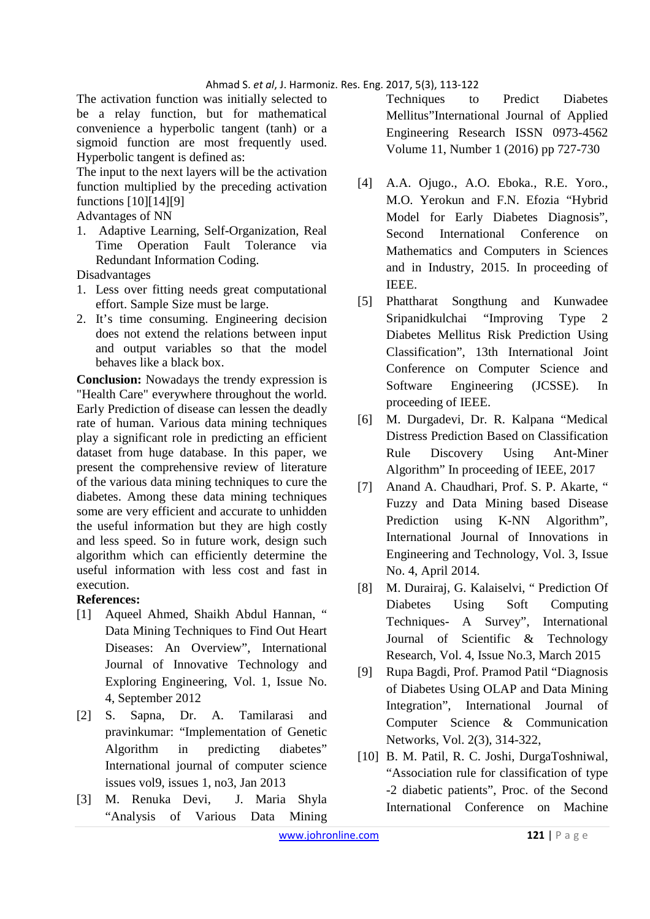The activation function was initially selected to be a relay function, but for mathematical convenience a hyperbolic tangent (tanh) or a sigmoid function are most frequently used. Hyperbolic tangent is defined as:

The input to the next layers will be the activation function multiplied by the preceding activation functions [10][14][9]

Advantages of NN

1. Adaptive Learning, Self-Organization, Real Time Operation Fault Tolerance via Redundant Information Coding.

Disadvantages

- 1. Less over fitting needs great computational effort. Sample Size must be large.
- 2. It's time consuming. Engineering decision does not extend the relations between input and output variables so that the model behaves like a black box.

**Conclusion:** Nowadays the trendy expression is "Health Care" everywhere throughout the world. Early Prediction of disease can lessen the deadly rate of human. Various data mining techniques play a significant role in predicting an efficient dataset from huge database. In this paper, we present the comprehensive review of literature of the various data mining techniques to cure the diabetes. Among these data mining techniques some are very efficient and accurate to unhidden the useful information but they are high costly and less speed. So in future work, design such algorithm which can efficiently determine the useful information with less cost and fast in execution.

# **References:**

- [1] Aqueel Ahmed, Shaikh Abdul Hannan, " Data Mining Techniques to Find Out Heart Diseases: An Overview", International Journal of Innovative Technology and Exploring Engineering, Vol. 1, Issue No. 4, September 2012
- [2] S. Sapna, Dr. A. Tamilarasi and pravinkumar: "Implementation of Genetic Algorithm in predicting diabetes" International journal of computer science issues vol9, issues 1, no3, Jan 2013
- [3] M. Renuka Devi, J. Maria Shyla "Analysis of Various Data Mining

Techniques to Predict Diabetes Mellitus"International Journal of Applied Engineering Research ISSN 0973-4562 Volume 11, Number 1 (2016) pp 727-730

- [4] A.A. Ojugo., A.O. Eboka., R.E. Yoro., M.O. Yerokun and F.N. Efozia "Hybrid Model for Early Diabetes Diagnosis", Second International Conference on Mathematics and Computers in Sciences and in Industry, 2015. In proceeding of IEEE.
- [5] Phattharat Songthung and Kunwadee Sripanidkulchai "Improving Type 2 Diabetes Mellitus Risk Prediction Using Classification", 13th International Joint Conference on Computer Science and Software Engineering (JCSSE). In proceeding of IEEE.
- [6] M. Durgadevi, Dr. R. Kalpana "Medical Distress Prediction Based on Classification Rule Discovery Using Ant-Miner Algorithm" In proceeding of IEEE, 2017
- [7] Anand A. Chaudhari, Prof. S. P. Akarte, " Fuzzy and Data Mining based Disease Prediction using K-NN Algorithm", International Journal of Innovations in Engineering and Technology, Vol. 3, Issue No. 4, April 2014.
- [8] M. Durairaj, G. Kalaiselvi, " Prediction Of Diabetes Using Soft Computing Techniques- A Survey", International Journal of Scientific & Technology Research, Vol. 4, Issue No.3, March 2015
- [9] Rupa Bagdi, Prof. Pramod Patil "Diagnosis of Diabetes Using OLAP and Data Mining Integration", International Journal of Computer Science & Communication Networks, Vol. 2(3), 314-322,
- [10] B. M. Patil, R. C. Joshi, DurgaToshniwal, "Association rule for classification of type -2 diabetic patients", Proc. of the Second International Conference on Machine